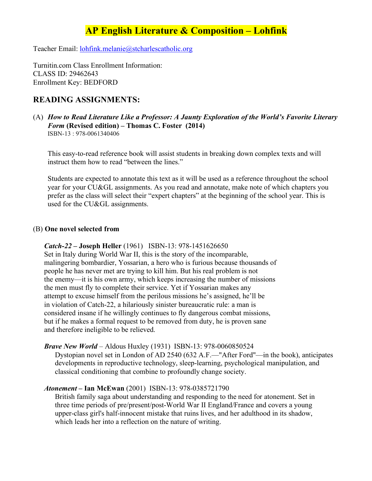# **AP English Literature & Composition – Lohfink**

Teacher Email: lohfink.melanie@stcharlescatholic.org

Turnitin.com Class Enrollment Information: CLASS ID: 29462643 Enrollment Key: BEDFORD

## **READING ASSIGNMENTS:**

(A) *How to Read Literature Like a Professor: A Jaunty Exploration of the World's Favorite Literary Form* **(Revised edition) – Thomas C. Foster (2014)** ISBN-13 : 978-0061340406

This easy-to-read reference book will assist students in breaking down complex texts and will instruct them how to read "between the lines."

Students are expected to annotate this text as it will be used as a reference throughout the school year for your CU&GL assignments. As you read and annotate, make note of which chapters you prefer as the class will select their "expert chapters" at the beginning of the school year. This is used for the CU&GL assignments.

#### (B) **One novel selected from**

#### *Catch-22 –* **Joseph Heller** (1961) ISBN-13: 978-1451626650

 Set in Italy during World War II, this is the story of the incomparable, malingering bombardier, Yossarian, a hero who is furious because thousands of people he has never met are trying to kill him. But his real problem is not the enemy—it is his own army, which keeps increasing the number of missions the men must fly to complete their service. Yet if Yossarian makes any attempt to excuse himself from the perilous missions he's assigned, he'll be in violation of Catch-22, a hilariously sinister bureaucratic rule: a man is considered insane if he willingly continues to fly dangerous combat missions, but if he makes a formal request to be removed from duty, he is proven sane and therefore ineligible to be relieved.

#### *Brave New World* – Aldous Huxley (1931) ISBN-13: 978-0060850524

Dystopian novel set in London of AD 2540 (632 A.F.—"After Ford"—in the book), anticipates developments in reproductive technology, sleep-learning, psychological manipulation, and classical conditioning that combine to profoundly change society.

#### *Atonement* **– Ian McEwan** (2001) ISBN-13: 978-0385721790

British family saga about understanding and responding to the need for atonement. Set in three time periods of pre/present/post-World War II England/France and covers a young upper-class girl's half-innocent mistake that ruins lives, and her adulthood in its shadow, which leads her into a reflection on the nature of writing.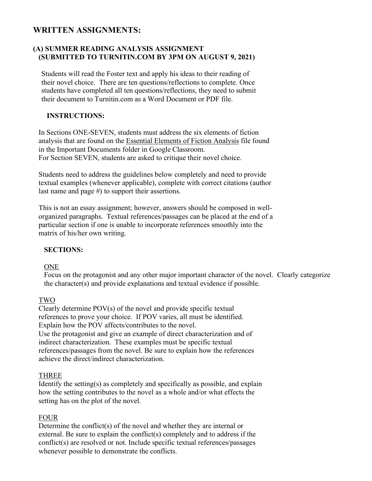## **WRITTEN ASSIGNMENTS:**

### **(A) SUMMER READING ANALYSIS ASSIGNMENT (SUBMITTED TO TURNITIN.COM BY 3PM ON AUGUST 9, 2021)**

 Students will read the Foster text and apply his ideas to their reading of their novel choice. There are ten questions/reflections to complete. Once students have completed all ten questions/reflections, they need to submit their document to Turnitin.com as a Word Document or PDF file.

## **INSTRUCTIONS:**

 In Sections ONE-SEVEN, students must address the six elements of fiction analysis that are found on the Essential Elements of Fiction Analysis file found in the Important Documents folder in Google Classroom. For Section SEVEN, students are asked to critique their novel choice.

 Students need to address the guidelines below completely and need to provide textual examples (whenever applicable), complete with correct citations (author last name and page #) to support their assertions.

 This is not an essay assignment; however, answers should be composed in well organized paragraphs. Textual references/passages can be placed at the end of a particular section if one is unable to incorporate references smoothly into the matrix of his/her own writing.

#### **SECTIONS:**

#### ONE

Focus on the protagonist and any other major important character of the novel. Clearly categorize the character(s) and provide explanations and textual evidence if possible.

#### TWO

 Clearly determine POV(s) of the novel and provide specific textual references to prove your choice. If POV varies, all must be identified. Explain how the POV affects/contributes to the novel. Use the protagonist and give an example of direct characterization and of indirect characterization. These examples must be specific textual references/passages from the novel. Be sure to explain how the references achieve the direct/indirect characterization.

#### THREE

 Identify the setting(s) as completely and specifically as possible, and explain how the setting contributes to the novel as a whole and/or what effects the setting has on the plot of the novel.

#### FOUR

 Determine the conflict(s) of the novel and whether they are internal or external. Be sure to explain the conflict(s) completely and to address if the conflict(s) are resolved or not. Include specific textual references/passages whenever possible to demonstrate the conflicts.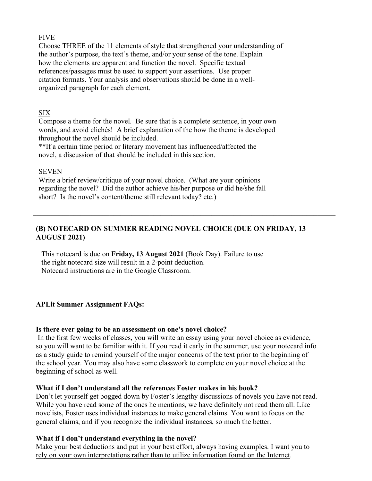#### FIVE

 Choose THREE of the 11 elements of style that strengthened your understanding of the author's purpose, the text's theme, and/or your sense of the tone. Explain how the elements are apparent and function the novel. Specific textual references/passages must be used to support your assertions. Use proper citation formats. Your analysis and observations should be done in a well organized paragraph for each element.

#### SIX

 Compose a theme for the novel. Be sure that is a complete sentence, in your own words, and avoid clichés! A brief explanation of the how the theme is developed throughout the novel should be included.

 \*\*If a certain time period or literary movement has influenced/affected the novel, a discussion of that should be included in this section.

#### SEVEN

 Write a brief review/critique of your novel choice. (What are your opinions regarding the novel? Did the author achieve his/her purpose or did he/she fall short? Is the novel's content/theme still relevant today? etc.)

## **(B) NOTECARD ON SUMMER READING NOVEL CHOICE (DUE ON FRIDAY, 13 AUGUST 2021)**

 $\mathcal{L}_\mathcal{L} = \{ \mathcal{L}_\mathcal{L} = \{ \mathcal{L}_\mathcal{L} = \{ \mathcal{L}_\mathcal{L} = \{ \mathcal{L}_\mathcal{L} = \{ \mathcal{L}_\mathcal{L} = \{ \mathcal{L}_\mathcal{L} = \{ \mathcal{L}_\mathcal{L} = \{ \mathcal{L}_\mathcal{L} = \{ \mathcal{L}_\mathcal{L} = \{ \mathcal{L}_\mathcal{L} = \{ \mathcal{L}_\mathcal{L} = \{ \mathcal{L}_\mathcal{L} = \{ \mathcal{L}_\mathcal{L} = \{ \mathcal{L}_\mathcal{$ 

 This notecard is due on **Friday, 13 August 2021** (Book Day). Failure to use the right notecard size will result in a 2-point deduction. Notecard instructions are in the Google Classroom.

#### **APLit Summer Assignment FAQs:**

#### **Is there ever going to be an assessment on one's novel choice?**

In the first few weeks of classes, you will write an essay using your novel choice as evidence, so you will want to be familiar with it. If you read it early in the summer, use your notecard info as a study guide to remind yourself of the major concerns of the text prior to the beginning of the school year. You may also have some classwork to complete on your novel choice at the beginning of school as well.

#### **What if I don't understand all the references Foster makes in his book?**

Don't let yourself get bogged down by Foster's lengthy discussions of novels you have not read. While you have read some of the ones he mentions, we have definitely not read them all. Like novelists, Foster uses individual instances to make general claims. You want to focus on the general claims, and if you recognize the individual instances, so much the better.

#### **What if I don't understand everything in the novel?**

Make your best deductions and put in your best effort, always having examples. I want you to rely on your own interpretations rather than to utilize information found on the Internet.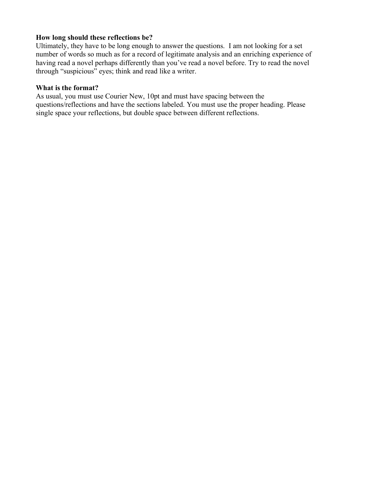#### **How long should these reflections be?**

Ultimately, they have to be long enough to answer the questions. I am not looking for a set number of words so much as for a record of legitimate analysis and an enriching experience of having read a novel perhaps differently than you've read a novel before. Try to read the novel through "suspicious" eyes; think and read like a writer.

#### **What is the format?**

As usual, you must use Courier New, 10pt and must have spacing between the questions/reflections and have the sections labeled. You must use the proper heading. Please single space your reflections, but double space between different reflections.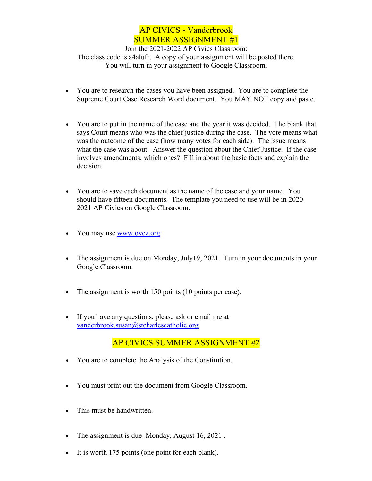# AP CIVICS - Vanderbrook SUMMER ASSIGNMENT #1

Join the 2021-2022 AP Civics Classroom: The class code is a4alufr. A copy of your assignment will be posted there. You will turn in your assignment to Google Classroom.

- You are to research the cases you have been assigned. You are to complete the Supreme Court Case Research Word document. You MAY NOT copy and paste.
- You are to put in the name of the case and the year it was decided. The blank that says Court means who was the chief justice during the case. The vote means what was the outcome of the case (how many votes for each side). The issue means what the case was about. Answer the question about the Chief Justice. If the case involves amendments, which ones? Fill in about the basic facts and explain the decision.
- You are to save each document as the name of the case and your name. You should have fifteen documents. The template you need to use will be in 2020- 2021 AP Civics on Google Classroom.
- You may use www.oyez.org.
- The assignment is due on Monday, July19, 2021. Turn in your documents in your Google Classroom.
- The assignment is worth 150 points (10 points per case).
- If you have any questions, please ask or email me at vanderbrook.susan@stcharlescatholic.org

## AP CIVICS SUMMER ASSIGNMENT #2

- You are to complete the Analysis of the Constitution.
- You must print out the document from Google Classroom.
- This must be handwritten.
- The assignment is due Monday, August 16, 2021.
- It is worth 175 points (one point for each blank).